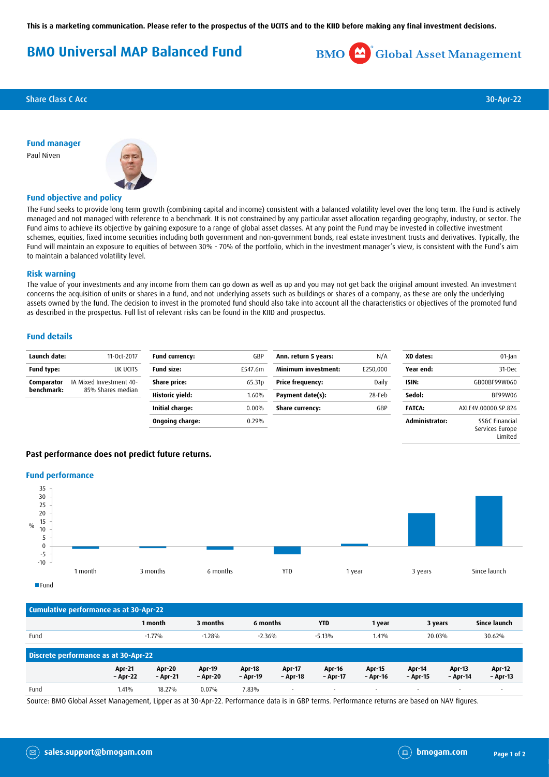**This is a marketing communication. Please refer to the prospectus of the UCITS and to the KIID before making any final investment decisions.**

# **BMO Universal MAP Balanced Fund**



**Share Class C Acc** 30-Apr-22

**Fund manager** Paul Niven



## **Fund objective and policy**

The Fund seeks to provide long term growth (combining capital and income) consistent with a balanced volatility level over the long term. The Fund is actively managed and not managed with reference to a benchmark. It is not constrained by any particular asset allocation regarding geography, industry, or sector. The Fund aims to achieve its objective by gaining exposure to a range of global asset classes. At any point the Fund may be invested in collective investment schemes, equities, fixed income securities including both government and non-government bonds, real estate investment trusts and derivatives. Typically, the Fund will maintain an exposure to equities of between 30% - 70% of the portfolio, which in the investment manager's view, is consistent with the Fund's aim to maintain a balanced volatility level.

#### **Risk warning**

The value of your investments and any income from them can go down as well as up and you may not get back the original amount invested. An investment concerns the acquisition of units or shares in a fund, and not underlying assets such as buildings or shares of a company, as these are only the underlying assets owned by the fund. The decision to invest in the promoted fund should also take into account all the characteristics or objectives of the promoted fund as described in the prospectus. Full list of relevant risks can be found in the KIID and prospectus.

#### **Fund details**

| Launch date:             | 11-0ct-2017                                  | <b>Fund currency:</b> | GBP                | Ann. return 5 years:    | N/A      | XD dates:      | 01-Jan                            |
|--------------------------|----------------------------------------------|-----------------------|--------------------|-------------------------|----------|----------------|-----------------------------------|
| Fund type:               | UK UCITS                                     | <b>Fund size:</b>     | £547.6m            | Minimum investment:     | £250,000 | Year end:      | 31-Dec                            |
| Comparator<br>benchmark: | IA Mixed Investment 40-<br>85% Shares median | Share price:          | 65.31 <sub>p</sub> | <b>Price frequency:</b> | Daily    | ISIN:          | GB00BF99W060                      |
|                          |                                              | Historic yield:       | 1.60%              | Payment date(s):        | 28-Feb   | Sedol:         | BF99W06                           |
|                          |                                              | Initial charge:       | 0.00%              | <b>Share currency:</b>  | GBP      | <b>FATCA:</b>  | AXLE4V.00000.SP.826               |
|                          |                                              | Ongoing charge:       | 0.29%              |                         |          | Administrator: | SS&C Financial<br>Services Europe |

## **Past performance does not predict future returns.**

#### **Fund performance**



| Cumulative performance as at 30-Apr-22 |                           |                           |                           |                           |                           |                          |                           |                    |                           |                           |
|----------------------------------------|---------------------------|---------------------------|---------------------------|---------------------------|---------------------------|--------------------------|---------------------------|--------------------|---------------------------|---------------------------|
|                                        |                           | 1 month                   | 3 months                  | 6 months                  |                           | <b>YTD</b>               | 1 year                    | 3 years            |                           | Since launch              |
| Fund                                   |                           | $-1.77%$                  | $-1.28%$                  | $-2.36%$                  |                           | $-5.13%$                 | 1.41%                     | 20.03%             |                           | 30.62%                    |
| Discrete performance as at 30-Apr-22   |                           |                           |                           |                           |                           |                          |                           |                    |                           |                           |
|                                        | <b>Apr-21</b><br>- Apr-22 | <b>Apr-20</b><br>- Apr-21 | <b>Apr-19</b><br>- Apr-20 | <b>Apr-18</b><br>– Apr-19 | <b>Apr-17</b><br>- Apr-18 | Apr-16<br>- Apr-17       | <b>Apr-15</b><br>- Apr-16 | Apr-14<br>- Apr-15 | <b>Apr-13</b><br>- Apr-14 | <b>Apr-12</b><br>- Apr-13 |
| Fund                                   | 1.41%                     | 18.27%                    | 0.07%                     | 7.83%                     | $\sim$                    | $\overline{\phantom{a}}$ | $\overline{\phantom{a}}$  |                    | $\overline{\phantom{a}}$  | $\overline{\phantom{a}}$  |

Source: BMO Global Asset Management, Lipper as at 30-Apr-22. Performance data is in GBP terms. Performance returns are based on NAV figures.

Limited